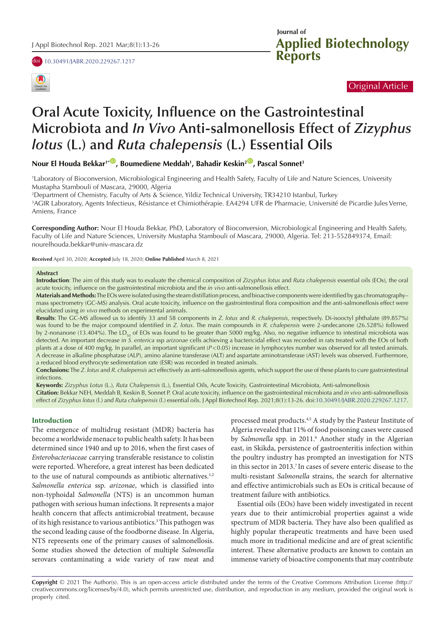doi [10.30491/JABR.2020.229267.1217](https://doi.org/10.30491/JABR.2020.229267.1217)



# Original Article

# **Oral Acute Toxicity, Influence on the Gastrointestinal Microbiota and** *In Vivo* **Anti-salmonellosis Effect of** *Zizyphus lotus* **(L.) and** *Ruta chalepensis* **(L.) Essential Oils**

 $\bm{\mathsf{Nour}}$  El Houda Bekkar<sup>1\*</sup>, Boumediene Meddah<sup>1</sup>, Bahadir Keskin<sup>2</sup>, Pascal Sonnet<sup>3</sup>

1 Laboratory of Bioconversion, Microbiological Engineering and Health Safety, Faculty of Life and Nature Sciences, University Mustapha Stambouli of Mascara, 29000, Algeria

2 Department of Chemistry, Faculty of Arts & Science, Yildiz Technical University, TR34210 Istanbul, Turkey

3 AGIR Laboratory, Agents Infectieux, Résistance et Chimiothérapie. EA4294 UFR de Pharmacie, Université de Picardie Jules Verne, Amiens, France

**Corresponding Author:** Nour El Houda Bekkar, PhD, Laboratory of Bioconversion, Microbiological Engineering and Health Safety, Faculty of Life and Nature Sciences, University Mustapha Stambouli of Mascara, 29000, Algeria. Tel: 213-552849374, Email: nourelhouda.bekkar@univ-mascara.dz

**Received** April 30, 2020; **Accepted** July 18, 2020; **Online Published** March 8, 2021

#### **Abstract**

**Introduction**: The aim of this study was to evaluate the chemical composition of *Zizyphus lotus* and *Ruta chalepensis* essential oils (EOs), the oral acute toxicity, influence on the gastrointestinal microbiota and the *in vivo* anti-salmonellosis effect.

**Materials and Methods:** The EOs were isolated using the steam distillation process, and bioactive components were identified by gas chromatography– mass spectrometry (GC-MS) analysis. Oral acute toxicity, influence on the gastrointestinal flora composition and the anti-salmonellosis effect were elucidated using *in vivo* methods on experimental animals.

**Results**: The GC-MS allowed us to identify 33 and 58 components in *Z. lotus* and *R. chalepensis*, respectively. Di-isooctyl phthalate (89.857%) was found to be the major compound identified in *Z. lotus*. The main compounds in *R. chalepensis* were 2-undecanone (26.528%) followed by 2-nonanone (13.404%). The LD<sub>50</sub> of EOs was found to be greater than 5000 mg/kg. Also, no negative influence to intestinal microbiota was detected. An important decrease in *S. enterica* ssp *arizonae* cells achieving a bactericidal effect was recorded in rats treated with the EOs of both plants at a dose of 400 mg/kg. In parallel, an important significant ( $P < 0.05$ ) increase in lymphocytes number was observed for all tested animals. A decrease in alkaline phosphatase (ALP), amino alanine transferase (ALT) and aspartate aminotransferase (AST) levels was observed. Furthermore, a reduced blood erythrocyte sedimentation rate (ESR) was recorded in treated animals.

**Conclusions:** The *Z. lotus* and *R. chalepensis* act effectively as anti-salmonellosis agents, which support the use of these plants to cure gastrointestinal infections.

**Keywords:** *Zizyphus Lotus* (L.), *Ruta Chalepensis* (L.), Essential Oils, Acute Toxicity, Gastrointestinal Microbiota, Anti-salmonellosis **Citation:** Bekkar NEH, Meddah B, Keskin B, Sonnet P. Oral acute toxicity, influence on the gastrointestinal microbiota and *in vivo* anti-salmonellosis effect of *Zizyphus lotus* (l.) and *Ruta chalepensis* (l.) essential oils. J Appl Biotechnol Rep. 2021;8(1):13-26. doi:[10.30491/JABR.2020.229267.1217](https://doi.org/10.30491/JABR.2020.229267.1217).

#### **Introduction**

The emergence of multidrug resistant (MDR) bacteria has become a worldwide menace to public health safety. It has been determined since 1940 and up to 2016, when the first cases of *Enterobacteriaceae* carrying transferable resistance to colistin were reported. Wherefore, a great interest has been dedicated to the use of natural compounds as antibiotic alternatives.<sup>1,2</sup> *Salmonella enterica* ssp. *arizonae*, which is classified into non-typhoidal *Salmonella* (NTS) is an uncommon human pathogen with serious human infections. It represents a major health concern that affects antimicrobial treatment, because of its high resistance to various antibiotics.<sup>3</sup> This pathogen was the second leading cause of the foodborne disease. In Algeria, NTS represents one of the primary causes of salmonellosis. Some studies showed the detection of multiple *Salmonella* serovars contaminating a wide variety of raw meat and

processed meat products.4,5 A study by the Pasteur Institute of Algeria revealed that 11% of food poisoning cases were caused by *Salmonella* spp. in 2011.<sup>6</sup> Another study in the Algerian east, in Skikda, persistence of gastroenteritis infection within the poultry industry has prompted an investigation for NTS in this sector in 2013.7 In cases of severe enteric disease to the multi-resistant *Salmonella* strains, the search for alternative and effective antimicrobials such as EOs is critical because of treatment failure with antibiotics.

Essential oils (EOs) have been widely investigated in recent years due to their antimicrobial properties against a wide spectrum of MDR bacteria. They have also been qualified as highly popular therapeutic treatments and have been used much more in traditional medicine and are of great scientific interest. These alternative products are known to contain an immense variety of bioactive components that may contribute

**Copyright** © 2021 The Author(s). This is an open-access article distributed under the terms of the Creative Commons Attribution License (http:// creativecommons.org/licenses/by/4.0), which permits unrestricted use, distribution, and reproduction in any medium, provided the original work is properly cited.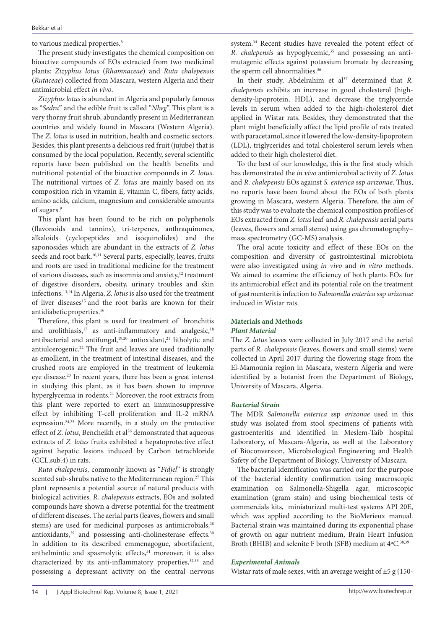to various medical properties.<sup>8</sup>

The present study investigates the chemical composition on bioactive compounds of EOs extracted from two medicinal plants: *Zizyphus lotus* (*Rhamnaceae*) and *Ruta chalepensis*  (*Rutaceae*) collected from Mascara, western Algeria and their antimicrobial effect *in vivo*.

*Zizyphus lotus* is abundant in Algeria and popularly famous as "*Sedra*" and the edible fruit is called "*Nbeg*". This plant is a very thorny fruit shrub, abundantly present in Mediterranean countries and widely found in Mascara (Western Algeria). The *Z. lotus* is used in nutrition, health and cosmetic sectors. Besides, this plant presents a delicious red fruit (jujube) that is consumed by the local population. Recently, several scientific reports have been published on the health benefits and nutritional potential of the bioactive compounds in *Z. lotus*. The nutritional virtues of *Z. lotus* are mainly based on its composition rich in vitamin E, vitamin C, fibers, fatty acids, amino acids, calcium, magnesium and considerable amounts of sugars.9

This plant has been found to be rich on polyphenols (flavonoids and tannins), tri-terpenes, anthraquinones, alkaloids (cyclopeptides and isoquinolides) and the saponosides which are abundant in the extracts of *Z. lotus* seeds and root bark.<sup>10,11</sup> Several parts, especially, leaves, fruits and roots are used in traditional medicine for the treatment of various diseases, such as insomnia and anxiety,<sup>12</sup> treatment of digestive disorders, obesity, urinary troubles and skin infections.13,14 In Algeria, *Z. lotus* is also used for the treatment of liver diseases<sup>15</sup> and the root barks are known for their antidiabetic properties.16

Therefore, this plant is used for treatment of bronchitis and urolithiasis,<sup>17</sup> as anti-inflammatory and analgesic,<sup>18</sup> antibacterial and antifungal,<sup>19,20</sup> antioxidant,<sup>21</sup> litholytic and antiulcerogenic.22 The fruit and leaves are used traditionally as emollient, in the treatment of intestinal diseases, and the crushed roots are employed in the treatment of leukemia eye disease.23 In recent years, there has been a great interest in studying this plant, as it has been shown to improve hyperglycemia in rodents.<sup>24</sup> Moreover, the root extracts from this plant were reported to exert an immunosuppressive effect by inhibiting T-cell proliferation and IL-2 mRNA expression.24,25 More recently, in a study on the protective effect of *Z. lotus*, Bencheikh et al<sup>26</sup> demonstrated that aqueous extracts of *Z. lotus* fruits exhibited a hepatoprotective effect against hepatic lesions induced by Carbon tetrachloride (CCL.sub.4) in rats.

*Ruta chalepensis*, commonly known as "*Fidjel*" is strongly scented sub-shrubs native to the Mediterranean region.<sup>27</sup> This plant represents a potential source of natural products with biological activities. *R. chalepensis* extracts, EOs and isolated compounds have shown a diverse potential for the treatment of different diseases. The aerial parts (leaves, flowers and small stems) are used for medicinal purposes as antimicrobials,<sup>28</sup> antioxidants,<sup>29</sup> and possessing anti-cholinesterase effects.<sup>30</sup> In addition to its described emmenagogue, abortifacient, anthelmintic and spasmolytic effects,<sup>31</sup> moreover, it is also characterized by its anti-inflammatory properties,<sup>32,33</sup> and possessing a depressant activity on the central nervous

system.<sup>34</sup> Recent studies have revealed the potent effect of *R. chalepensis* as hypoglycemic,<sup>35</sup> and possessing an antimutagenic effects against potassium bromate by decreasing the sperm cell abnormalities.<sup>36</sup>

In their study, Abdelrahim et al<sup>37</sup> determined that *R*. *chalepensis* exhibits an increase in good cholesterol (highdensity-lipoprotein, HDL), and decrease the triglyceride levels in serum when added to the high-cholesterol diet applied in Wistar rats. Besides, they demonstrated that the plant might beneficially affect the lipid profile of rats treated with paracetamol, since it lowered the low-density-lipoprotein (LDL), triglycerides and total cholesterol serum levels when added to their high cholesterol diet.

To the best of our knowledge, this is the first study which has demonstrated the *in vivo* antimicrobial activity of *Z. lotus* and *R. chalepensis* EOs against *S. enterica* ssp *arizonae*. Thus, no reports have been found about the EOs of both plants growing in Mascara, western Algeria. Therefore, the aim of this study was to evaluate the chemical composition profiles of EOs extracted from *Z. lotus* leaf and *R. chalepensis* aerial parts (leaves, flowers and small stems) using gas chromatography– mass spectrometry (GC-MS) analysis.

The oral acute toxicity and effect of these EOs on the composition and diversity of gastrointestinal microbiota were also investigated using *in vivo* and *in vitro* methods. We aimed to examine the efficiency of both plants EOs for its antimicrobial effect and its potential role on the treatment of gastroenteritis infection to *Salmonella enterica* ssp *arizonae* induced in Wistar rats.

# **Materials and Methods**

# *Plant Material*

The *Z. lotus* leaves were collected in July 2017 and the aerial parts of *R. chalepensis* (leaves, flowers and small stems) were collected in April 2017 during the flowering stage from the El-Mamounia region in Mascara, western Algeria and were identified by a botanist from the Department of Biology, University of Mascara, Algeria.

#### *Bacterial Strain*

The MDR *Salmonella enterica* ssp *arizonae* used in this study was isolated from stool specimens of patients with gastroenteritis and identified in Meslem-Taib hospital Laboratory, of Mascara-Algeria, as well at the Laboratory of Bioconversion, Microbiological Engineering and Health Safety of the Department of Biology, University of Mascara.

The bacterial identification was carried out for the purpose of the bacterial identity confirmation using macroscopic examination on Salmonella-Shigella agar, microscopic examination (gram stain) and using biochemical tests of commercials kits, miniaturized multi-test systems API 20E, which was applied according to the BioMerieux manual. Bacterial strain was maintained during its exponential phase of growth on agar nutrient medium, Brain Heart Infusion Broth (BHIB) and selenite F broth (SFB) medium at  $4^{\circ}$ C.<sup>38,39</sup>

#### *Experimental Animals*

Wistar rats of male sexes, with an average weight of  $\pm 5$  g (150-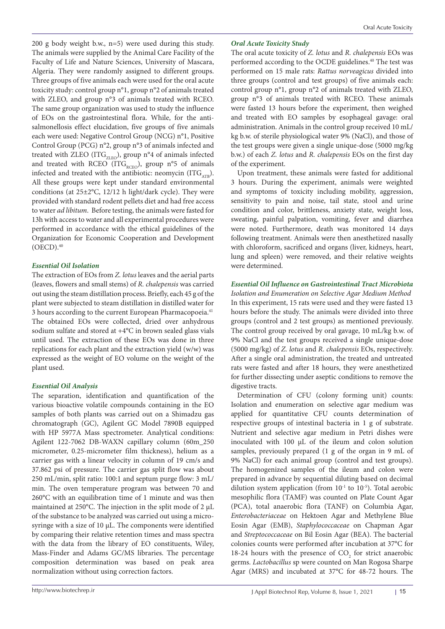200 g body weight b.w., n=5) were used during this study. The animals were supplied by the Animal Care Facility of the Faculty of Life and Nature Sciences, University of Mascara, Algeria. They were randomly assigned to different groups. Three groups of five animals each were used for the oral acute toxicity study: control group n°1, group n°2 of animals treated with ZLEO, and group n°3 of animals treated with RCEO. The same group organization was used to study the influence of EOs on the gastrointestinal flora. While, for the antisalmonellosis effect elucidation, five groups of five animals each were used: Negative Control Group (NCG) n°1, Positive Control Group (PCG) n°2, group n°3 of animals infected and treated with ZLEO (ITG $_{\rm ZLEO}$ ), group n°4 of animals infected and treated with RCEO (ITG<sub>RCEO</sub>), group n°5 of animals infected and treated with the antibiotic: neomycin  $(ITG<sub>ATB</sub>)$ . All these groups were kept under standard environmental conditions (at 25±2°C, 12/12 h light/dark cycle). They were provided with standard rodent pellets diet and had free access to water *ad libitum*. Before testing, the animals were fasted for 13h with access to water and all experimental procedures were performed in accordance with the ethical guidelines of the Organization for Economic Cooperation and Development  $(OECD).<sup>40</sup>$ 

# *Essential Oil Isolation*

The extraction of EOs from *Z. lotus* leaves and the aerial parts (leaves, flowers and small stems) of *R. chalepensis* was carried out using the steam distillation process. Briefly, each 45 g of the plant were subjected to steam distillation in distilled water for 3 hours according to the current European Pharmacopoeia.<sup>41</sup> The obtained EOs were collected, dried over anhydrous sodium sulfate and stored at +4°C in brown sealed glass vials until used. The extraction of these EOs was done in three replications for each plant and the extraction yield (w/w) was expressed as the weight of EO volume on the weight of the plant used.

# *Essential Oil Analysis*

The separation, identification and quantification of the various bioactive volatile compounds containing in the EO samples of both plants was carried out on a Shimadzu gas chromatograph (GC), Agilent GC Model 7890B equipped with HP 5977A Mass spectrometer. Analytical conditions: Agilent 122-7062 DB-WAXN capillary column (60m\_250 micrometer, 0.25-micrometer film thickness), helium as a carrier gas with a linear velocity in column of 19 cm/s and 37.862 psi of pressure. The carrier gas split flow was about 250 mL/min, split ratio: 100:1 and septum purge flow: 3 mL/ min. The oven temperature program was between 70 and 260°C with an equilibration time of 1 minute and was then maintained at 250°C. The injection in the split mode of 2  $\mu$ L of the substance to be analyzed was carried out using a microsyringe with a size of 10 µL. The components were identified by comparing their relative retention times and mass spectra with the data from the library of EO constituents, Wiley, Mass-Finder and Adams GC/MS libraries. The percentage composition determination was based on peak area normalization without using correction factors.

# *Oral Acute Toxicity Study*

The oral acute toxicity of *Z. lotus* and *R. chalepensis* EOs was performed according to the OCDE guidelines.<sup>40</sup> The test was performed on 15 male rats: *Rattus norveagicus* divided into three groups (control and test groups) of five animals each: control group n°1, group n°2 of animals treated with ZLEO, group n°3 of animals treated with RCEO. These animals were fasted 13 hours before the experiment, then weighed and treated with EO samples by esophageal gavage: oral administration. Animals in the control group received 10 mL/ kg b.w. of sterile physiological water 9% (NaCl), and those of the test groups were given a single unique-dose (5000 mg/kg b.w.) of each *Z. lotus* and *R. chalepensis* EOs on the first day of the experiment.

Upon treatment, these animals were fasted for additional 3 hours. During the experiment, animals were weighted and symptoms of toxicity including mobility, aggression, sensitivity to pain and noise, tail state, stool and urine condition and color, brittleness, anxiety state, weight loss, sweating, painful palpation, vomiting, fever and diarrhea were noted. Furthermore, death was monitored 14 days following treatment. Animals were then anesthetized nasally with chloroform, sacrificed and organs (liver, kidneys, heart, lung and spleen) were removed, and their relative weights were determined.

*Essential Oil Influence on Gastrointestinal Tract Microbiota Isolation and Enumeration on Selective Agar Medium Method* In this experiment, 15 rats were used and they were fasted 13 hours before the study. The animals were divided into three groups (control and 2 test groups) as mentioned previously. The control group received by oral gavage, 10 mL/kg b.w. of 9% NaCl and the test groups received a single unique-dose (5000 mg/kg) of *Z. lotus* and *R. chalepensis* EOs, respectively. After a single oral administration, the treated and untreated rats were fasted and after 18 hours, they were anesthetized for further dissecting under aseptic conditions to remove the digestive tracts.

Determination of CFU (colony forming unit) counts: Isolation and enumeration on selective agar medium was applied for quantitative CFU counts determination of respective groups of intestinal bacteria in 1 g of substrate. Nutrient and selective agar medium in Petri dishes were inoculated with 100 µL of the ileum and colon solution samples, previously prepared (1 g of the organ in 9 mL of 9% NaCl) for each animal group (control and test groups). The homogenized samples of the ileum and colon were prepared in advance by sequential diluting based on decimal dilution system application (from  $10^{-1}$  to  $10^{-5}$ ). Total aerobic mesophilic flora (TAMF) was counted on Plate Count Agar (PCA), total anaerobic flora (TANF) on Columbia Agar, *Enterobacteriaceae* on Hektoen Agar and Methylene Blue Eosin Agar (EMB), *Staphylococcaceae* on Chapman Agar and *Streptococcaceae* on Bil Eosin Agar (BEA). The bacterial colonies counts were performed after incubation at 37°C for 18-24 hours with the presence of  $CO<sub>2</sub>$  for strict anaerobic germs. *Lactobacillus* sp were counted on Man Rogosa Sharpe Agar (MRS) and incubated at 37°C for 48-72 hours. The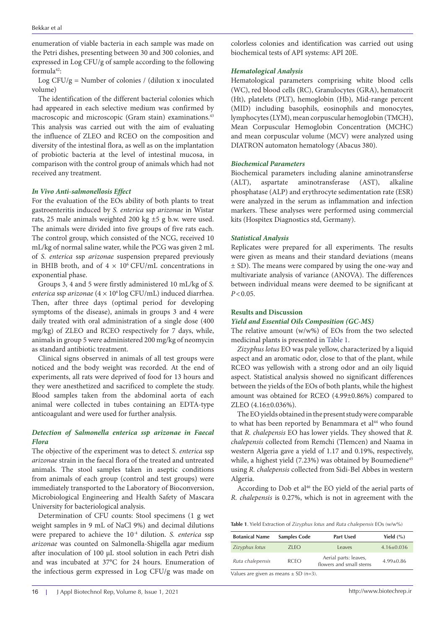enumeration of viable bacteria in each sample was made on the Petri dishes, presenting between 30 and 300 colonies, and expressed in Log CFU/g of sample according to the following formula42:

Log  $CFU/g =$  Number of colonies / (dilution x inoculated volume)

The identification of the different bacterial colonies which had appeared in each selective medium was confirmed by macroscopic and microscopic (Gram stain) examinations.<sup>43</sup> This analysis was carried out with the aim of evaluating the influence of ZLEO and RCEO on the composition and diversity of the intestinal flora, as well as on the implantation of probiotic bacteria at the level of intestinal mucosa, in comparison with the control group of animals which had not received any treatment.

#### *In Vivo Anti-salmonellosis Effect*

For the evaluation of the EOs ability of both plants to treat gastroenteritis induced by *S. enterica* ssp *arizonae* in Wistar rats, 25 male animals weighted 200 kg ±5 g b.w. were used. The animals were divided into five groups of five rats each. The control group, which consisted of the NCG, received 10 mL/kg of normal saline water, while the PCG was given 2 mL of *S. enterica* ssp *arizonae* suspension prepared previously in BHIB broth, and of  $4 \times 10^6$  CFU/mL concentrations in exponential phase.

Groups 3, 4 and 5 were firstly administered 10 mL/kg of *S. enterica* ssp *arizonae* (4 × 106 log CFU/mL) induced diarrhea. Then, after three days (optimal period for developing symptoms of the disease), animals in groups 3 and 4 were daily treated with oral administration of a single dose (400 mg/kg) of ZLEO and RCEO respectively for 7 days, while, animals in group 5 were administered 200 mg/kg of neomycin as standard antibiotic treatment.

Clinical signs observed in animals of all test groups were noticed and the body weight was recorded. At the end of experiments, all rats were deprived of food for 13 hours and they were anesthetized and sacrificed to complete the study. Blood samples taken from the abdominal aorta of each animal were collected in tubes containing an EDTA-type anticoagulant and were used for further analysis.

### *Detection of Salmonella enterica ssp arizonae in Faecal Flora*

The objective of the experiment was to detect *S. enterica* ssp *arizonae* strain in the faecal flora of the treated and untreated animals. The stool samples taken in aseptic conditions from animals of each group (control and test groups) were immediately transported to the Laboratory of Bioconversion, Microbiological Engineering and Health Safety of Mascara University for bacteriological analysis.

Determination of CFU counts: Stool specimens (1 g wet weight samples in 9 mL of NaCl 9%) and decimal dilutions were prepared to achieve the 10-4 dilution. *S. enterica* ssp *arizonae* was counted on Salmonella-Shigella agar medium after inoculation of 100 µL stool solution in each Petri dish and was incubated at 37°C for 24 hours. Enumeration of the infectious germ expressed in Log CFU/g was made on

colorless colonies and identification was carried out using biochemical tests of API systems: API 20E.

#### *Hematological Analysis*

Hematological parameters comprising white blood cells (WC), red blood cells (RC), Granulocytes (GRA), hematocrit (Ht), platelets (PLT), hemoglobin (Hb), Mid-range percent (MID) including basophils, eosinophils and monocytes, lymphocytes (LYM), mean corpuscular hemoglobin (TMCH), Mean Corpuscular Hemoglobin Concentration **(**MCHC) and mean corpuscular volume (MCV) were analyzed using DIATRON automaton hematology (Abacus 380).

#### *Biochemical Parameters*

Biochemical parameters including alanine aminotransferse (ALT), aspartate aminotransferase (AST), alkaline phosphatase (ALP) and erythrocyte sedimentation rate (ESR) were analyzed in the serum as inflammation and infection markers. These analyses were performed using commercial kits (Hospitex Diagnostics std, Germany).

#### *Statistical Analysis*

Replicates were prepared for all experiments. The results were given as means and their standard deviations (means ± SD). The means were compared by using the one-way and multivariate analysis of variance (ANOVA). The differences between individual means were deemed to be significant at  $P < 0.05$ .

#### **Results and Discussion**

#### *Yield and Essential Oils Composition (GC-MS)*

The relative amount (w/w%) of EOs from the two selected medicinal plants is presented in [Table 1.](#page-3-0)

*Zizyphus lotus* EO was pale yellow, characterized by a liquid aspect and an aromatic odor, close to that of the plant, while RCEO was yellowish with a strong odor and an oily liquid aspect. Statistical analysis showed no significant differences between the yields of the EOs of both plants, while the highest amount was obtained for RCEO (4.99±0.86%) compared to ZLEO (4.16±0.036%).

The EO yields obtained in the present study were comparable to what has been reported by Benammara et al<sup>44</sup> who found that *R. chalepensis* EO has lower yields. They showed that *R. chalepensis* collected from Remchi (Tlemcen) and Naama in western Algeria gave a yield of 1.17 and 0.19%, respectively, while, a highest yield (7.23%) was obtained by Boumediene<sup>45</sup> using *R. chalepensis* collected from Sidi-Bel Abbes in western Algeria.

According to Dob et al<sup>46</sup> the EO yield of the aerial parts of *R. chalepensis* is 0.27%, which is not in agreement with the

<span id="page-3-0"></span>**Table 1**. Yield Extraction of *Zizyphus lotus* and *Ruta chalepensis* EOs (w/w%)

| <b>Samples Code</b> | <b>Part Used</b>                                 | Yield $(\% )$    |
|---------------------|--------------------------------------------------|------------------|
| 7IFO                | Leaves                                           | $4.16 \pm 0.036$ |
| <b>RCEO</b>         | Aerial parts: leaves,<br>flowers and small stems | $4.99 \pm 0.86$  |
|                     |                                                  |                  |

Values are given as means  $\pm$  SD (n=3).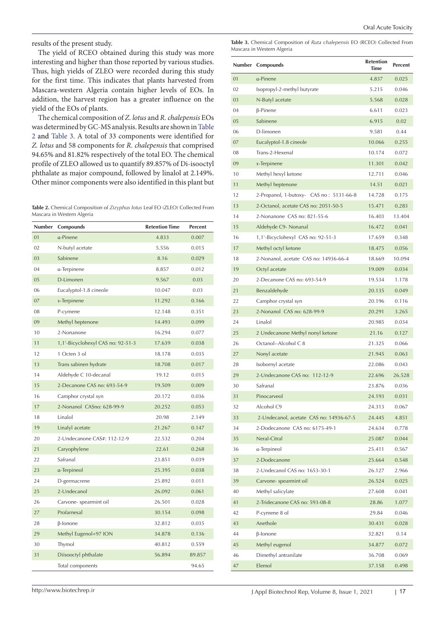results of the present study.

The yield of RCEO obtained during this study was more interesting and higher than those reported by various studies. Thus, high yields of ZLEO were recorded during this study for the first time. This indicates that plants harvested from Mascara-western Algeria contain higher levels of EOs. In addition, the harvest region has a greater influence on the yield of the EOs of plants.

The chemical composition of *Z. lotus* and *R. chalepensis* EOs was determined by GC-MS analysis. Results are shown in [Table](#page-4-0) and [Table 3.](#page-4-1) A total of 33 components were identified for *Z. lotus* and 58 components for *R. chalepensis* that comprised 94.65% and 81.82% respectively of the total EO. The chemical profile of ZLEO allowed us to quantify 89.857% of Di-isooctyl phthalate as major compound, followed by linalol at 2.149%. Other minor components were also identified in this plant but

<span id="page-4-0"></span>**Table 2.** Chemical Composition of *Zizyphus lotus* Leaf EO (ZLEO) Collected From Mascara in Western Algeria

| Number | Compounds                         | <b>Retention Time</b> | Percent |
|--------|-----------------------------------|-----------------------|---------|
| 01     | a-Pinene                          | 4.833                 | 0.007   |
| 02     | N-butyl acetate                   | 5.556                 | 0.015   |
| 03     | Sabinene                          | 8.16                  | 0.029   |
| 04     | a-Terpinene                       | 8.857                 | 0.012   |
| 05     | D-Limonen                         | 9.567                 | 0.03    |
| 06     | Eucalyptol-1.8 cineole            | 10.047                | 0.03    |
| 07     | <i>x</i> -Terpinene               | 11.292                | 0.166   |
| 08     | P-cymene                          | 12.148                | 0.351   |
| 09     | Methyl heptenone                  | 14.493                | 0.099   |
| 10     | 2-Nonanone                        | 16.294                | 0.077   |
| 11     | 1,1'-Bicyclohexyl CAS no: 92-51-3 | 17.639                | 0.038   |
| 12     | 1 Octen 3 ol                      | 18.178                | 0.035   |
| 13     | Trans sabinen hydrate             | 18.708                | 0.017   |
| 14     | Aldehyde C 10-decanal             | 19.12                 | 0.015   |
| 15     | 2-Decanone CAS no: 693-54-9       | 19.509                | 0.009   |
| 16     | Camphor crystal syn               | 20.172                | 0.036   |
| 17     | 2-Nonanol CASno: 628-99-9         | 20.252                | 0.053   |
| 18     | Linalol                           | 20.98                 | 2.149   |
| 19     | Linalyl acetate                   | 21.267                | 0.147   |
| 20     | 2-Undecanone CAS#: 112-12-9       | 22.532                | 0.204   |
| 21     | Caryophylene                      | 22.61                 | 0.268   |
| 22     | Safranal                          | 23.851                | 0.039   |
| 23     | a-Terpineol                       | 25.395                | 0.038   |
| 24     | D-germacrene                      | 25.892                | 0.011   |
| 25     | 2-Undecanol                       | 26.092                | 0.061   |
| 26     | Carvone- spearmint oil            | 26.501                | 0.028   |
| 27     | Profarnesal                       | 30.154                | 0.098   |
| 28     | β-lonone                          | 32.812                | 0.035   |
| 29     | Methyl Eugenol+97 ION             | 34.878                | 0.136   |
| 30     | Thymol                            | 40.812                | 0.559   |
| 31     | Diisooctyl phthalate              | 56.894                | 89.857  |
|        | Total components                  |                       | 94.65   |

<span id="page-4-1"></span>**Table 3.** Chemical Composition of *Ruta chalepensis* EO (RCEO) Collected From Mascara in Western Algeria

|    | Number Compounds                        | <b>Retention</b><br><b>Time</b> | <b>Percent</b> |
|----|-----------------------------------------|---------------------------------|----------------|
| 01 | a-Pinene                                | 4.837                           | 0.025          |
| 02 | Isopropyl-2-methyl butyrate             | 5.215                           | 0.046          |
| 03 | N-Butyl acetate                         | 5.568                           | 0.028          |
| 04 | $\beta$ -Pinene                         | 6.611                           | 0.023          |
| 05 | Sabinene                                | 6.915                           | 0.02           |
| 06 | D-limonen                               | 9.581                           | 0.44           |
| 07 | Eucalyptol-1.8 cineole                  | 10.066                          | 0.255          |
| 08 | Trans-2-Hexenal                         | 10.174                          | 0.072          |
| 09 | <i>x</i> -Terpinene                     | 11.301                          | 0.042          |
| 10 | Methyl hexyl ketone                     | 12.711                          | 0.046          |
| 11 | Methyl heptenone                        | 14.51                           | 0.021          |
| 12 | 2-Propanol, 1-butoxy- CAS no: 5131-66-8 | 14.728                          | 0.175          |
| 13 | 2-Octanol, acetate CAS no: 2051-50-5    | 15.471                          | 0.283          |
| 14 | 2-Nonanone CAS no: 821-55-6             | 16.403                          | 13.404         |
| 15 | Aldehyde C9- Nonanal                    | 16.472                          | 0.041          |
| 16 | 1,1'-Bicyclohexyl CAS no: 92-51-3       | 17.659                          | 0.348          |
| 17 | Methyl octyl ketone                     | 18.475                          | 0.056          |
| 18 | 2-Nonanol, acetate CAS no: 14936-66-4   | 18.669                          | 10.094         |
| 19 | Octyl acetate                           | 19.009                          | 0.034          |
| 20 | 2-Decanone CAS no: 693-54-9             | 19.534                          | 1.178          |
| 21 | Benzaldehyde                            | 20.135                          | 0.049          |
| 22 | Camphor crystal syn                     | 20.196                          | 0.116          |
| 23 | 2-Nonanol CAS no: 628-99-9              | 20.291                          | 3.265          |
| 24 | Linalol                                 | 20.985                          | 0.034          |
| 25 | 2 Undecanone Methyl nonyl ketone        | 21.16                           | 0.127          |
| 26 | Octanol--Alcohol C 8                    | 21.325                          | 0.066          |
| 27 | Nonyl acetate                           | 21.945                          | 0.063          |
| 28 | Isobornyl acetate                       | 22.086                          | 0.043          |
| 29 | 2-Undecanone CAS no: 112-12-9           | 22.696                          | 26.528         |
| 30 | Safranal                                | 23.876                          | 0.036          |
| 31 | Pinocarveol                             | 24.193                          | 0.031          |
| 32 | Alcohol C9                              | 24.313                          | 0.067          |
| 33 | 2-Undecanol, acetate CAS no: 14936-67-5 | 24.445                          | 4.851          |
| 34 | 2-Dodecanone CAS no: 6175-49-1          | 24.634                          | 0.778          |
| 35 | Neral-Citral                            | 25.087                          | 0.044          |
| 36 | a-Terpineol                             | 25.411                          | 0.567          |
| 37 | 2-Dodecanone                            | 25.664                          | 0.548          |
| 38 | 2-Undecanol CAS no: 1653-30-1           | 26.127                          | 2.966          |
| 39 | Carvone- spearmint oil                  | 26.524                          | 0.025          |
| 40 | Methyl salicylate                       | 27.608                          | 0.041          |
| 41 | 2-Tridecanone CAS no: 593-08-8          | 28.86                           | 1.077          |
| 42 | P-cymene 8 ol                           | 29.84                           | 0.046          |
| 43 | Anethole                                | 30.431                          | 0.028          |
| 44 | $\beta$ -lonone                         | 32.821                          | 0.14           |
| 45 | Methyl eugenol                          | 34.877                          | 0.072          |
| 46 | Dimethyl antranilate                    | 36.708                          | 0.069          |
| 47 | Elemol                                  | 37.158                          | 0.498          |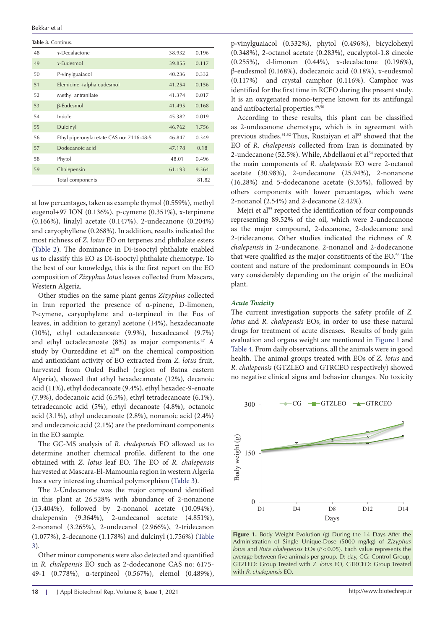Bekkar et al

**Table 3.** Continus.

| 48 | x-Decalactone                            | 38.932 | 0.196 |
|----|------------------------------------------|--------|-------|
| 49 | $x$ -Eudesmol                            | 39.855 | 0.117 |
| 50 | P-vinylguaiacol                          | 40.236 | 0.332 |
| 51 | Elemicine +alpha eudesmol                | 41.254 | 0.156 |
| 52 | Methyl antranilate                       | 41.374 | 0.017 |
| 53 | β-Eudesmol                               | 41.495 | 0.168 |
| 54 | Indole                                   | 45.382 | 0.019 |
| 55 | Dulcinyl                                 | 46.762 | 1.756 |
| 56 | Ethyl piperonylacetate CAS no: 7116-48-5 | 46.847 | 0.349 |
| 57 | Dodecanoic acid                          | 47.178 | 0.18  |
| 58 | Phytol                                   | 48.01  | 0.496 |
| 59 | Chalepensin                              | 61.193 | 9.364 |
|    | Total components                         |        | 81.82 |

at low percentages, taken as example thymol (0.559%), methyl eugenol+97 ION (0.136%), p-cymene (0.351%), ɤ-terpinene (0.166%), linalyl acetate (0.147%), 2-undecanone (0.204%) and caryophyllene (0.268%). In addition, results indicated the most richness of *Z. lotus* EO on terpenes and phthalate esters ([Table 2\)](#page-4-0). The dominance in Di-isooctyl phthalate enabled us to classify this EO as Di-isooctyl phthalate chemotype. To the best of our knowledge, this is the first report on the EO composition of *Zizyphus lotus* leaves collected from Mascara, Western Algeria*.*

Other studies on the same plant genus *Zizyphus* collected in Iran reported the presence of ɑ-pinene, D-limonen, P-cymene, caryophylene and ɑ-terpineol in the Eos of leaves, in addition to geranyl acetone (14%), hexadecanoate (10%), ethyl octadecanoate (9.9%), hexadecanol (9.7%) and ethyl octadecanoate (8%) as major components.47 A study by Ourzeddine et al<sup>48</sup> on the chemical composition and antioxidant activity of EO extracted from *Z. lotus* fruit, harvested from Ouled Fadhel (region of Batna eastern Algeria), showed that ethyl hexadecanoate (12%), decanoic acid (11%), ethyl dodecanoate (9.4%), ethyl hexadec-9-enoate (7.9%), dodecanoic acid (6.5%), ethyl tetradecanoate (6.1%), tetradecanoic acid (5%), ethyl decanoate (4.8%), octanoic acid (3.1%), ethyl undecanoate (2.8%), nonanoic acid (2.4%) and undecanoic acid (2.1%) are the predominant components in the EO sample.

The GC-MS analysis of *R. chalepensis* EO allowed us to determine another chemical profile, different to the one obtained with *Z. lotus* leaf EO. The EO of *R. chalepensis* harvested at Mascara-El-Mamounia region in western Algeria has a very interesting chemical polymorphism [\(Table 3\)](#page-4-1).

The 2-Undecanone was the major compound identified in this plant at 26.528% with abundance of 2-nonanone (13.404%), followed by 2-nonanol acetate (10.094%), chalepensin (9.364%), 2-undecanol acetate (4.851%), 2-nonanol (3.265%), 2-undecanol (2.966%), 2-tridecanon (1.077%), 2-decanone (1.178%) and dulcinyl (1.756%) ([Table](#page-4-1) [3](#page-4-1)).

Other minor components were also detected and quantified in *R. chalepensis* EO such as 2-dodecanone CAS no: 6175- 49-1 (0.778%), ɑ-terpineol (0.567%), elemol (0.489%),

According to these results, this plant can be classified as 2-undecanone chemotype, which is in agreement with previous studies.<sup>51,52</sup> Thus, Rustaiyan et al<sup>53</sup> showed that the EO of *R. chalepensis* collected from Iran is dominated by 2-undecanone (52.5%). While, Abdellaoui et al<sup>54</sup> reported that the main components of *R. chalepensis* EO were 2-octanol acetate (30.98%), 2-undecanone (25.94%), 2-nonanone (16.28%) and 5-dodecanone acetate (9.35%), followed by others components with lower percentages, which were 2-nonanol (2.54%) and 2-decanone (2.42%).

Mejri et al<sup>55</sup> reported the identification of four compounds representing 89.52% of the oil, which were 2-undecanone as the major compound, 2-decanone, 2-dodecanone and 2-tridecanone. Other studies indicated the richness of *R.*  chalepensis in 2-undecanone, 2-nonanol and 2-dodecanone that were qualified as the major constituents of the EO.<sup>56</sup> The  $\overline{P}$ content and nature of the predominant compounds in EOs vary considerably depending on the origin of the medicinal plant.

#### *Acute Toxicity*

The current investigation supports the safety profile of *Z*. *lotus* and *R. chalepensis* EOs, in order to use these natural drugs for treatment of acute diseases. Results of body gain evaluation and organs weight are mentioned in [Figure 1](#page-5-0) and [Table 4](#page-6-0). From daily observations, all the animals were in good health. The animal groups treated with EOs of *Z. lotus* and *R. chalepensis* (GTZLEO and GTRCEO respectively) showed no negative clinical signs and behavior changes. No toxicity

<span id="page-5-0"></span>

**Figure 1.** Body Weight Evolution (g) During the 14 Days After the **Administration of Single Unique-Dose** (5000 mg/kg) of *Zizyphus lotus* and *Ruta chalepensis* EOs (*P*<0.05). Each value represents the average between five animals per group. D: day, CG: Control Group, GTZLEO: Group Treated with *Z. lotus* EO, GTRCEO: Group Treated with *R. chalepensis* EO.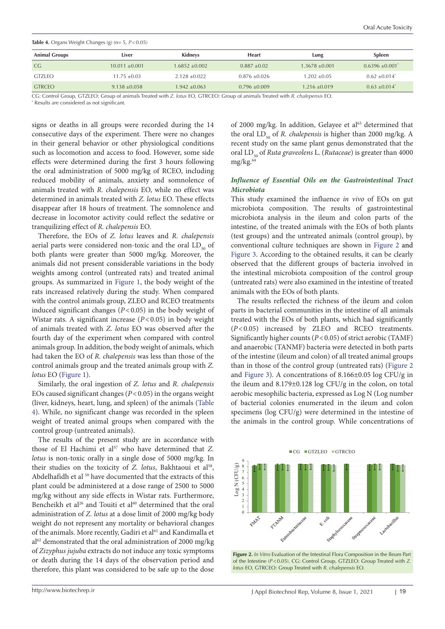<span id="page-6-0"></span>

| <b>Table 4.</b> Organs Weight Changes (g) ( $n = 5$ , $P < 0.05$ ) |                   |                  |                   |                   |                             |  |
|--------------------------------------------------------------------|-------------------|------------------|-------------------|-------------------|-----------------------------|--|
| <b>Animal Groups</b>                                               | Liver             | Kidneys          | Heart             | Lung              | Spleen                      |  |
| CG.                                                                | $10.011 + 0.001$  | $1.6852 + 0.002$ | $0.887 + 0.02$    | $1.3678 + 0.001$  | $0.6396 \pm 0.001^*$        |  |
| <b>GTZLEO</b>                                                      | $11.75 + 0.03$    | $2.128 + 0.022$  | $0.876 + 0.026$   | $1.202 + 0.05$    | $0.62 + 0.014$ <sup>*</sup> |  |
| <b>GTRCEO</b>                                                      | $9.138 \pm 0.058$ | $.942 \pm 0.063$ | $0.796 \pm 0.009$ | $1.216 \pm 0.019$ | $0.63 + 0.014$ <sup>*</sup> |  |

CG: Control Group, GTZLEO: Group of animals Treated with *Z. lotus* EO, GTRCEO: Group of animals Treated with *R. chalepensis* EO. \* Results are considered as not significant.

signs or deaths in all groups were recorded during the 14 consecutive days of the experiment. There were no changes in their general behavior or other physiological conditions such as locomotion and access to food. However, some side effects were determined during the first 3 hours following the oral administration of 5000 mg/kg of RCEO, including reduced mobility of animals, anxiety and somnolence of animals treated with *R. chalepensis* EO, while no effect was determined in animals treated with *Z. lotus* EO. These effects disappear after 18 hours of treatment. The somnolence and decrease in locomotor activity could reflect the sedative or tranquilizing effect of *R. chalepensis* EO.

Therefore, the EOs of *Z. lotus* leaves and *R. chalepensis* aerial parts were considered non-toxic and the oral  $LD_{50}$  of both plants were greater than 5000 mg/kg. Moreover, the animals did not present considerable variations in the body weights among control (untreated rats) and treated animal groups. As summarized in [Figure 1,](#page-5-0) the body weight of the rats increased relatively during the study. When compared with the control animals group, ZLEO and RCEO treatments induced significant changes (*P*<0.05) in the body weight of Wistar rats. A significant increase ( $P < 0.05$ ) in body weight of animals treated with *Z. lotus* EO was observed after the fourth day of the experiment when compared with control animals group. In addition, the body weight of animals, which had taken the EO of *R. chalepensis* was less than those of the control animals group and the treated animals group with *Z. lotus* EO [\(Figure 1](#page-5-0)).

Similarly, the oral ingestion of *Z. lotus* and *R. chalepensis* EOs caused significant changes (*P*<0.05) in the organs weight (liver, kidneys, heart, lung, and spleen) of the animals ([Table](#page-6-0) [4](#page-6-0)). While, no significant change was recorded in the spleen weight of treated animal groups when compared with the control group (untreated animals).

The results of the present study are in accordance with those of El Hachimi et al<sup>57</sup> who have determined that *Z*. *lotus* is non-toxic orally in a single dose of 5000 mg/kg. In their studies on the toxicity of *Z. lotus*, Bakhtaoui et al<sup>58</sup>, Abdelhafidh et al <sup>59</sup> have documented that the extracts of this plant could be administered at a dose range of 2500 to 5000 mg/kg without any side effects in Wistar rats. Furthermore, Bencheikh et al<sup>26</sup> and Touiti et al<sup>60</sup> determined that the oral administration of *Z. lotus* at a dose limit of 2000 mg/kg body weight do not represent any mortality or behavioral changes of the animals. More recently, Gadiri et al<sup>61</sup> and Kandimalla et  $al<sup>62</sup>$  demonstrated that the oral administration of 2000 mg/kg of *Zizyphus jujuba* extracts do not induce any toxic symptoms or death during the 14 days of the observation period and therefore, this plant was considered to be safe up to the dose

of 2000 mg/kg. In addition, Gelayee et al<sup>63</sup> determined that the oral LD<sub>50</sub> of *R. chalepensis* is higher than 2000 mg/kg. A recent study on the same plant genus demonstrated that the oral LD<sub>50</sub> of *Ruta graveolens* L. (*Rutaceae*) is greater than 4000  $m\sigma/k$ g.<sup>64</sup>

#### *Influence of Essential Oils on the Gastrointestinal Tract Microbiota*

This study examined the influence *in vivo* of EOs on gut microbiota composition. The results of gastrointestinal microbiota analysis in the ileum and colon parts of the intestine, of the treated animals with the EOs of both plants (test groups) and the untreated animals (control group), by conventional culture techniques are shown in [Figure 2](#page-6-1) and Figure 3. According to the obtained results, it can be clearly observed that the different groups of bacteria involved in the intestinal microbiota composition of the control group (untreated rats) were also examined in the intestine of treated animals with the EOs of both plants.

The results reflected the richness of the ileum and colon parts in bacterial communities in the intestine of all animals treated with the EOs of both plants, which had significantly (*P*<0.05) increased by ZLEO and RCEO treatments. Significantly higher counts (*P*<0.05) of strict aerobic (TAMF) and anaerobic (TANMF) bacteria were detected in both parts of the intestine (ileum and colon) of all treated animal groups than in those of the control group (untreated rats) [\(Figure 2](#page-6-1)  and Figure 3). A concentrations of 8.166±0.05 log CFU/g in the ileum and 8.179±0.128 log CFU/g in the colon, on total aerobic mesophilic bacteria, expressed as Log N (Log number of bacterial colonies enumerated in the ileum and colon specimens (log CFU/g) were determined in the intestine of the animals in the control group. While concentrations of

CG GTZLEO GTRCEO

<span id="page-6-1"></span>

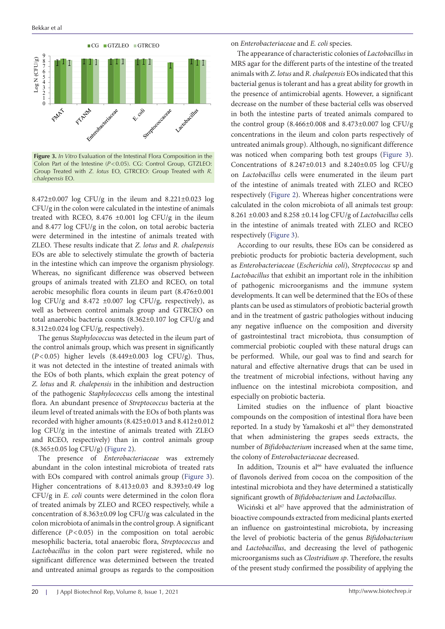

**Figure 3.** In Vitro Evaluation of the Intestinal Flora Composition in the Was Colon Part of the Intestine (*P*<0.05). CG: Control Group, GTZLEO: Group Treated with *Z. lotus* EO, GTRCEO: Group Treated with *R*. *chalepensis* EO. Treated with *R. chalepensis* EO.

 $8.472\pm0.007$  log CFU/g in the ileum and  $8.221\pm0.023$  log CFU/g in the colon were calculated in the intestine of animals treated with RCEO, 8.476  $\pm$ 0.001 log CFU/g in the ileum  $8.26$ and 8.477 log CFU/g in the colon, on total aerobic bacteria  $\frac{1}{10}$  t were determined in the intestine of animals treated with ZLEO. These results indicate that *Z. lotus* and *R. chalepensis* A EOs are able to selectively stimulate the growth of bacteria prel in the intestine which can improve the organism physiology. Whereas, no significant difference was observed between  $Lacc$ groups of animals treated with ZLEO and RCEO, on total of aerobic mesophilic flora counts in ileum part (8.476±0.001 devel log CFU/g and 8.472  $\pm 0.007$  log CFU/g, respectively), as well as between control animals group and GTRCEO on<sup>plar</sup> total anaerobic bacteria counts (8.362±0.107 log CFU/g and Whereas higher concentrations were calculated in the colon microbiota of all animals test group: 8.312±0.024 log CFU/g, respectively).

The genus *Staphylococcus* was detected in the ileum part of the control animals group, which was present in significantly (*P*<0.05) higher levels (8.449±0.003 log CFU/g). Thus, it was not detected in the intestine of treated animals with the EOs of both plants, which explain the great potency of *Z. lotus* and *R. chalepensis* in the inhibition and destruction of the pathogenic *Staphylococcus* cells among the intestinal flora. An abundant presence of *Streptococcus* bacteria at the ileum level of treated animals with the EOs of both plants was recorded with higher amounts (8.425±0.013 and 8.412±0.012 log CFU/g in the intestine of animals treated with ZLEO and RCEO, respectively) than in control animals group (8.365±0.05 log CFU/g) [\(Figure 2](#page-6-1)).

The presence of *Enterobacteriaceae* was extremely abundant in the colon intestinal microbiota of treated rats with EOs compared with control animals group (Figure 3). Higher concentrations of 8.413±0.03 and 8.393±0.49 log CFU/g in *E. coli* counts were determined in the colon flora of treated animals by ZLEO and RCEO respectively, while a concentration of 8.363±0.09 log CFU/g was calculated in the colon microbiota of animals in the control group. A significant difference (*P*<0.05) in the composition on total aerobic mesophilic bacteria, total anaerobic flora, *Streptococcus* and *Lactobacillus* in the colon part were registered, while no significant difference was determined between the treated and untreated animal groups as regards to the composition

on *Enterobacteriaceae* and *E. coli* species.

The appearance of characteristic colonies of *Lactobacillus* in MRS agar for the different parts of the intestine of the treated animals with *Z. lotus* and *R. chalepensis* EOs indicated that this bacterial genus is tolerant and has a great ability for growth in the presence of antimicrobial agents. However, a significant decrease on the number of these bacterial cells was observed in both the intestine parts of treated animals compared to the control group (8.466±0.008 and 8.473±0.007 log CFU/g concentrations in the ileum and colon parts respectively of untreated animals group). Although, no significant difference was noticed when comparing both test groups (Figure 3). Concentrations of  $8.247 \pm 0.013$  and  $8.240 \pm 0.05$  log CFU/g on *Lactobacillus* cells were enumerated in the ileum part of the intestine of animals treated with ZLEO and RCEO respectively [\(Figure 2\)](#page-6-1). Whereas higher concentrations were calculated in the colon microbiota of all animals test group: 8.261 ±0.003 and 8.258 ±0.14 log CFU/g of *Lactobacillus* cells in the intestine of animals treated with ZLEO and RCEO respectively (Figure 3).

According to our results, these EOs can be considered as prebiotic products for probiotic bacteria development, such as *Enterobacteriaceae* (*Escherichia coli*), *Streptococcus* sp and *Lactobacillus* that exhibit an important role in the inhibition of pathogenic microorganisms and the immune system developments. It can well be determined that the EOs of these plants can be used as stimulators of probiotic bacterial growth and in the treatment of gastric pathologies without inducing any negative influence on the composition and diversity of gastrointestinal tract microbiota, thus consumption of commercial probiotic coupled with these natural drugs can be performed. While, our goal was to find and search for natural and effective alternative drugs that can be used in the treatment of microbial infections, without having any influence on the intestinal microbiota composition, and especially on probiotic bacteria.

Limited studies on the influence of plant bioactive compounds on the composition of intestinal flora have been reported. In a study by Yamakoshi et al<sup>65</sup> they demonstrated that when administering the grapes seeds extracts, the number of *Bifidobacterium* increased when at the same time, the colony of *Enterobacteriaceae* decreased.

In addition, Tzounis et  $al<sup>66</sup>$  have evaluated the influence of flavonols derived from cocoa on the composition of the intestinal microbiota and they have determined a statistically significant growth of *Bifidobacterium* and *Lactobacillus*.

Wiciński et al<sup>67</sup> have approved that the administration of bioactive compounds extracted from medicinal plants exerted an influence on gastrointestinal microbiota, by increasing the level of probiotic bacteria of the genus *Bifidobacterium* and *Lactobacillus*, and decreasing the level of pathogenic microorganisms such as *Clostridium sp*. Therefore, the results of the present study confirmed the possibility of applying the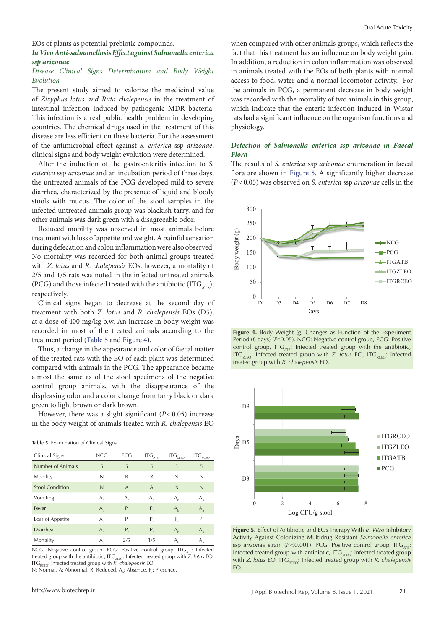EOs of plants as potential prebiotic compounds.

## *In Vivo Anti-salmonellosis Effect against Salmonella enterica ssp arizonae*

#### *Disease Clinical Signs Determination and Body Weight Evolution*

The present study aimed to valorize the medicinal value of *Zizyphus lotus and Ruta chalepensis* in the treatment of intestinal infection induced by pathogenic MDR bacteria. This infection is a real public health problem in developing countries. The chemical drugs used in the treatment of this disease are less efficient on these bacteria. For the assessment of the antimicrobial effect against *S. enterica* ssp *arizonae*, clinical signs and body weight evolution were determined.

After the induction of the gastroenteritis infection to *S. enterica* ssp *arizonae* and an incubation period of three days, the untreated animals of the PCG developed mild to severe diarrhea, characterized by the presence of liquid and bloody stools with mucus. The color of the stool samples in the infected untreated animals group was blackish tarry, and for other animals was dark green with a disagreeable odor.

Reduced mobility was observed in most animals before treatment with loss of appetite and weight. A painful sensation during defecation and colon inflammation were also observed. No mortality was recorded for both animal groups treated with *Z. lotus* and *R. chalepensis* EOs, however, a mortality of 2/5 and 1/5 rats was noted in the infected untreated animals (PCG) and those infected treated with the antibiotic (ITG<sub>ATB</sub>), respectively.

Clinical signs began to decrease at the second day of treatment with both *Z. lotus* and *R. chalepensis* EOs (D5), at a dose of 400 mg/kg b.w. An increase in body weight was recorded in most of the treated animals according to the treatment period [\(Table 5](#page-8-0) and [Figure 4\)](#page-8-1).

Thus, a change in the appearance and color of faecal matter of the treated rats with the EO of each plant was determined compared with animals in the PCG. The appearance became almost the same as of the stool specimens of the negative control group animals, with the disappearance of the displeasing odor and a color change from tarry black or dark green to light brown or dark brown.

However, there was a slight significant (*P*<0.05) increase in the body weight of animals treated with *R. chalepensis* EO

<span id="page-8-0"></span>

|  | Table 5. Examination of Clinical Signs |  |  |
|--|----------------------------------------|--|--|
|--|----------------------------------------|--|--|

| Clinical Signs         | <b>NCG</b>     | PCG            | $\text{ITG}_{\scriptscriptstyle{\text{ATB}}}$ | $\text{ITG}_{\text{ZLEO}}$ | $\text{ITG}_{\text{RCEO}}$ |
|------------------------|----------------|----------------|-----------------------------------------------|----------------------------|----------------------------|
| Number of Animals      | 5              | 5              | 5                                             | 5                          | 5                          |
| Mobility               | N              | R              | R                                             | N                          | N                          |
| <b>Stool Condition</b> | N              | $\overline{A}$ | A                                             | N                          | N                          |
| Vomiting               | $A_{\rm h}$    | $A_{\rm h}$    | $A_{\rm h}$                                   | $A_{\rm h}$                | A,                         |
| Fever                  | A <sub>h</sub> | Р,             | $P_{r}$                                       | $A_{h}$                    | $A_{h}$                    |
| Loss of Appetite       | $A_{\rm h}$    | Ρ,             | Ρ,                                            | Ρ,                         | Ρ,                         |
| Diarrhea               | A <sub>h</sub> | P,             | P,                                            | $A_{h}$                    | $A_{\rm h}$                |
| Mortality              | $A_{\rm h}$    | 2/5            | 1/5                                           |                            | A,                         |

NCG: Negative control group, PCG: Positive control group, ITG<sub>ATB</sub>: Infected treated group with the antibiotic, ITG<sub>ZLEO</sub>: Infected treated group with *Z. lotus* EO, ITG<sub>RCEO</sub>: Infected treated group with *R. chalepensis* EO.

N: Normal, A: Abnormal, R: Reduced, A<sub>b</sub>: Absence, P<sub>r</sub>: Presence.

when compared with other animals groups, which reflects the fact that this treatment has an influence on body weight gain. In addition, a reduction in colon inflammation was observed in animals treated with the EOs of both plants with normal access to food, water and a normal locomotor activity. For the animals in PCG, a permanent decrease in body weight was recorded with the mortality of two animals in this group, which indicate that the enteric infection induced in Wistar rats had a significant influence on the organism functions and physiology.

#### *Detection of Salmonella enterica ssp arizonae in Faecal Flora*

The results of *S. enterica* ssp *arizonae* enumeration in faecal flora are shown in [Figure 5](#page-8-2). A significantly higher decrease (*P*<0.05) was observed on *S. enterica* ssp *arizonae* cells in the 300

<span id="page-8-1"></span>

**Figure 4.** Body Weight (g) Changes as Function of the Experiment Period (8 days) (*P*≤0.05). NCG: Negative control group, PCG: Positive control group, IT $G_{ATB}$ : Infected treated group with the antibiotic, ITG<sub>ZLEO</sub>: Infected treated group with *Z. lotus* EO, ITG<sub>RCEO</sub>: Infected treated group with *R. chalepensis* EO. Infected treated treated group with *Z. chalepensis* EO.

<span id="page-8-2"></span>

**Figure 5.** Effect of Antibiotic and EOs Therapy With *In Vitro* Inhibitory Activity Against Colonizing Multidrug Resistant Salmonella enterica Redivity Against Colonizing Multidrug Resistant *Salmonella enterica* ssp *arizonae* strain (*P*<0.001). PCG: Positive control group, ITG<sub>ATB</sub>: Infected treated group with antibiotic, ITG<sub>ZLEO</sub>: Infected treated group with *Z. lotus* EO, ITG<sub>RCEO</sub>: Infected treated group with *R. chalepensis* EO.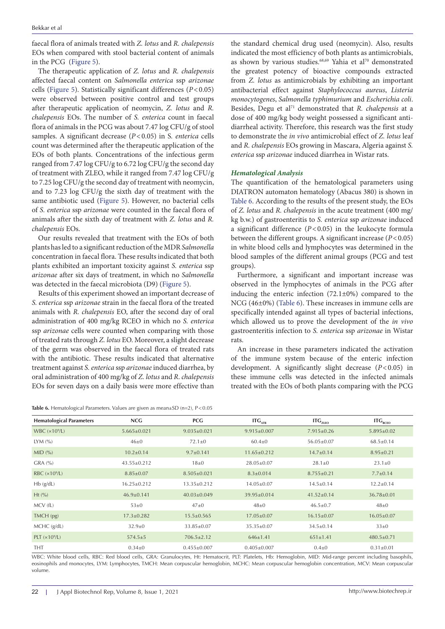faecal flora of animals treated with *Z. lotus* and *R. chalepensis* EOs when compared with stool bacterial content of animals in the PCG [\(Figure 5](#page-8-2)).

The therapeutic application of *Z. lotus* and *R. chalepensis* affected faecal content on *Salmonella enterica* ssp *arizonae* cells [\(Figure 5](#page-8-2)). Statistically significant differences (*P*<0.05) were observed between positive control and test groups after therapeutic application of neomycin, *Z. lotus* and *R. chalepensis* EOs. The number of *S. enterica* count in faecal flora of animals in the PCG was about 7.47 log CFU/g of stool samples. A significant decrease (*P*<0.05) in S*. enterica* cells count was determined after the therapeutic application of the EOs of both plants. Concentrations of the infectious germ ranged from 7.47 log CFU/g to 6.72 log CFU/g the second day of treatment with ZLEO, while it ranged from 7.47 log CFU/g to 7.25 log CFU/g the second day of treatment with neomycin, and to 7.23 log CFU/g the sixth day of treatment with the same antibiotic used [\(Figure 5](#page-8-2)). However, no bacterial cells of *S. enterica* ssp *arizonae* were counted in the faecal flora of animals after the sixth day of treatment with *Z. lotus* and *R. chalepensis* EOs.

Our results revealed that treatment with the EOs of both plants has led to a significant reduction of the MDR *Salmonella* concentration in faecal flora. These results indicated that both plants exhibited an important toxicity against *S. enterica* ssp *arizonae* after six days of treatment, in which no *Salmonella* was detected in the faecal microbiota (D9) [\(Figure 5\)](#page-8-2).

Results of this experiment showed an important decrease of *S. enterica* ssp *arizonae* strain in the faecal flora of the treated animals with *R. chalepensis* EO, after the second day of oral administration of 400 mg/kg RCEO in which no *S. enterica* ssp *arizonae* cells were counted when comparing with those of treated rats through *Z. lotus* EO. Moreover, a slight decrease of the germ was observed in the faecal flora of treated rats with the antibiotic. These results indicated that alternative treatment against *S. enterica* ssp *arizonae* induced diarrhea, by oral administration of 400 mg/kg of *Z. lotus* and *R*. *chalepensis* EOs for seven days on a daily basis were more effective than

<span id="page-9-0"></span>Table 6. Hematological Parameters. Values are given as mean±SD (n=2), P<0.05

the standard chemical drug used (neomycin). Also, results indicated the most efficiency of both plants as antimicrobials, as shown by various studies.<sup>68,69</sup> Yahia et al<sup>70</sup> demonstrated the greatest potency of bioactive compounds extracted from *Z. lotus* as antimicrobials by exhibiting an important antibacterial effect against *Staphylococcus aureus*, *Listeria monocytogenes*, *Salmonella typhimurium* and *Escherichia coli*. Besides, Degu et al<sup>71</sup> demonstrated that *R. chalepensis* at a dose of 400 mg/kg body weight possessed a significant antidiarrheal activity. Therefore, this research was the first study to demonstrate the *in vivo* antimicrobial effect of *Z. lotus* leaf and *R. chalepensis* EOs growing in Mascara, Algeria against *S. enterica* ssp *arizonae* induced diarrhea in Wistar rats.

#### *Hematological Analysis*

The quantification of the hematological parameters using DIATRON automaton hematology (Abacus 380) is shown in [Table 6](#page-9-0). According to the results of the present study, the EOs of *Z. lotus* and *R. chalepensis* in the acute treatment (400 mg/ kg b.w.) of gastroenteritis to *S. enterica* ssp *arizonae* induced a significant difference (*P*<0.05) in the leukocyte formula between the different groups. A significant increase (*P*<0.05) in white blood cells and lymphocytes was determined in the blood samples of the different animal groups (PCG and test groups).

Furthermore, a significant and important increase was observed in the lymphocytes of animals in the PCG after inducing the enteric infection  $(72.1\pm0\%)$  compared to the NCG (46±0%) [\(Table 6\)](#page-9-0). These increases in immune cells are specifically intended against all types of bacterial infections, which allowed us to prove the development of the *in vivo*  gastroenteritis infection to *S. enterica* ssp *arizonae* in Wistar rats.

An increase in these parameters indicated the activation of the immune system because of the enteric infection development. A significantly slight decrease (*P*<0.05) in these immune cells was detected in the infected animals treated with the EOs of both plants comparing with the PCG

| <b>Hematological Parameters</b> | NCG               | <b>PCG</b>        | ITG <sub>ATB</sub> | ITG <sub>ZLEO</sub> | $\mathsf{ITG}_{\mathsf{RCEO}}$ |
|---------------------------------|-------------------|-------------------|--------------------|---------------------|--------------------------------|
| WBC $(x109/L)$                  | $5.665 \pm 0.021$ | $9.035 \pm 0.021$ | $9.915 \pm 0.007$  | $7.915 \pm 0.26$    | $5.895 \pm 0.02$               |
| LYM $(\% )$                     | $46\pm0$          | $72.1 \pm 0$      | $60.4 \pm 0$       | $56.05 \pm 0.07$    | $68.5 \pm 0.14$                |
| MID(%)                          | $10.2 \pm 0.14$   | $9.7 \pm 0.141$   | $11.65 \pm 0.212$  | $14.7 \pm 0.14$     | $8.95 \pm 0.21$                |
| GRA (%)                         | $43.55+0.212$     | $18\pm0$          | $28.05 \pm 0.07$   | $28.1 \pm 0$        | $23.1 \pm 0$                   |
| RBC $(x109/L)$                  | $8.85 \pm 0.07$   | $8.505 \pm 0.021$ | $8.3 \pm 0.014$    | $8.755 \pm 0.21$    | $7.7 \pm 0.14$                 |
| $Hb$ (g/dL)                     | $16.25 \pm 0.212$ | $13.35 \pm 0.212$ | $14.05 \pm 0.07$   | $14.5 \pm 0.14$     | $12.2 \pm 0.14$                |
| Ht(%                            | $46.9 \pm 0.141$  | $40.03 \pm 0.049$ | $39.95 \pm 0.014$  | $41.52 \pm 0.14$    | $36.78 \pm 0.01$               |
| MCV (fL)                        | $53\pm0$          | $47\pm0$          | $48\pm0$           | $46.5 \pm 0.7$      | $48\pm0$                       |
| TMCH(pg)                        | $17.3 \pm 0.282$  | $15.5 \pm 0.565$  | $17.05 \pm 0.07$   | $16.15 \pm 0.07$    | $16.05 \pm 0.07$               |
| MCHC (g/dL)                     | $32.9 \pm 0$      | $33.85 \pm 0.07$  | $35.35 \pm 0.07$   | $34.5 \pm 0.14$     | $33\pm0$                       |
| PLT $(x109/L)$                  | $574.5 \pm 5$     | $706.5 \pm 2.12$  | $646 \pm 1.41$     | $651 \pm 1.41$      | $480.5 \pm 0.71$               |
| <b>THT</b>                      | $0.34 \pm 0$      | $0.455 \pm 0.007$ | $0.405 \pm 0.007$  | $0.4 \pm 0$         | $0.31 \pm 0.01$                |

WBC: White blood cells, RBC: Red blood cells, GRA: Granulocytes, Ht: Hematocrit, PLT: Platelets, Hb: Hemoglobin, MID: Mid-range percent including basophils, eosinophils and monocytes, LYM: Lymphocytes, TMCH: Mean corpuscular hemoglobin, MCHC: Mean corpuscular hemoglobin concentration, MCV: Mean corpuscular volume.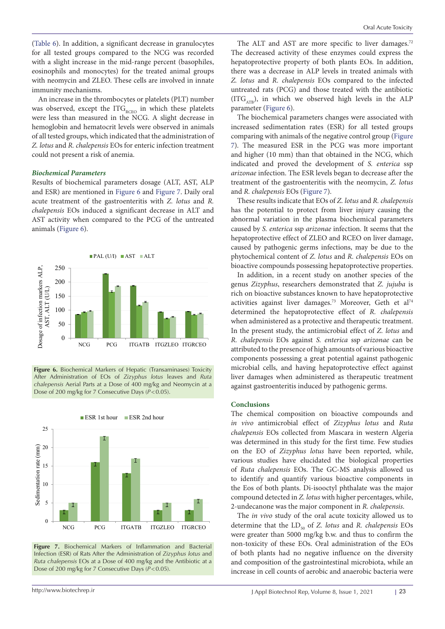([Table 6](#page-9-0)). In addition, a significant decrease in granulocytes for all tested groups compared to the NCG was recorded with a slight increase in the mid-range percent (basophiles, eosinophils and monocytes) for the treated animal groups with neomycin and ZLEO. These cells are involved in innate immunity mechanisms.

An increase in the thrombocytes or platelets (PLT) number was observed, except the  $ITG_{RCEO}$  in which these platelets were less than measured in the NCG. A slight decrease in hemoglobin and hematocrit levels were observed in animals of all tested groups, which indicated that the administration of *Z. lotus* and *R. chalepensis* EOs for enteric infection treatment could not present a risk of anemia.

#### *Biochemical Parameters*

Results of biochemical parameters dosage (ALT, AST, ALP and ESR) are mentioned in [Figure 6](#page-10-0) and [Figure 7.](#page-10-1) Daily oral and R. chalepensis E acute treatment of the gastroenteritis with *Z. lotus* and *R. chalepensis* EOs induced a significant decrease in ALT and *chalepensis* EOs induced a significant decrease in ALT AST activity when compared to the PCG of the untreated abnormal variation animals [\(Figure 6](#page-10-0)).

<span id="page-10-0"></span>

**Figure 6.** Biochemical Markers of Hepatic (Transaminases) Toxicity After Administration of EOs of *Zizyphus lotus* leaves and *Ruta* liver damages whe *chalepensis* Aerial Parts at a Dose of 400 mg/kg and Neomycin at a **paraministration** agas as troenter Dose of 200 mg/kg for 7 Consecutive Days (*P*<0.05).

<span id="page-10-1"></span>

Figure 7. Biochemical Markers of Inflammation and Bacterial Infection (ESR) of Rats After the Administration of *Zizyphus lotus* and *Ruta chalepensis* EOs at a Dose of 400 mg/kg and the Antibiotic at a Dose of 200 mg/kg for 7 Consecutive Days ( $\overline{P}$  < 0.05). BIOCHEMICAL Markers Of Initiammation and Bacter

The ALT and AST are more specific to liver damages.<sup>72</sup> The decreased activity of these enzymes could express the hepatoprotective property of both plants EOs. In addition, there was a decrease in ALP levels in treated animals with *Z. lotus* and *R. chalepensis* EOs compared to the infected untreated rats (PCG) and those treated with the antibiotic (ITG<sub>ATB</sub>), in which we observed high levels in the ALP parameter ([Figure 6](#page-10-0)).

The biochemical parameters changes were associated with increased sedimentation rates (ESR) for all tested groups comparing with animals of the negative control group ([Figure](#page-10-1)  [7\)](#page-10-1). The measured ESR in the PCG was more important and higher (10 mm) than that obtained in the NCG, which indicated and proved the development of *S. enterica* ssp *arizonae* infection. The ESR levels began to decrease after the treatment of the gastroenteritis with the neomycin, *Z. lotus* and *R. chalepensis* EOs [\(Figure 7](#page-10-1)).

These results indicate that EOs of *Z. lotus* and *R. chalepensis* has the potential to protect from liver injury causing the abnormal variation in the plasma biochemical parameters caused by *S. enterica* ssp *arizonae* infection. It seems that the hepatoprotective effect of ZLEO and RCEO on liver damage, caused by pathogenic germs infections, may be due to the phytochemical content of *Z. lotus* and *R. chalepensis* EOs on bioactive compounds possessing hepatoprotective properties.

In addition, in a recent study on another species of the genus *Zizyphus*, researchers demonstrated that *Z. jujuba* is rich on bioactive substances known to have hepatoprotective activities against liver damages.<sup>73</sup> Moreover, Geth et al<sup>74</sup> determined the hepatoprotective effect of *R. chalepensis* when administered as a protective and therapeutic treatment. In the present study, the antimicrobial effect of *Z. lotus* and *R. chalepensis* EOs against *S. enterica* ssp *arizonae* can be attributed to the presence of high amounts of various bioactive components possessing a great potential against pathogenic microbial cells, and having hepatoprotective effect against liver damages when administered as therapeutic treatment against gastroenteritis induced by pathogenic germs.

#### **Conclusions** of *Zizyphus lotus* leaves and *Ruta chalepensis* Aerial Parts at a Dose of 400 mg/kg and Neomycin

The chemical composition on bioactive compounds and *in vivo* antimicrobial effect of *Zizyphus lotus* and *Ruta chalepensis* EOs collected from Mascara in western Algeria was determined in this study for the first time. Few studies on the EO of *Zizyphus lotus* have been reported, while, various studies have elucidated the biological properties of *Ruta chalepensis* EOs. The GC-MS analysis allowed us to identify and quantify various bioactive components in the Eos of both plants. Di-isooctyl phthalate was the major compound detected in *Z. lotus* with higher percentages, while, 2-undecanone was the major component in *R. chalepensis*.

The *in vivo* study of the oral acute toxicity allowed us to determine that the LD<sub>50</sub> of *Z. lotus* and *R. chalepensis* EOs were greater than 5000 mg/kg b.w. and thus to confirm the non-toxicity of these EOs. Oral administration of the EOs of both plants had no negative influence on the diversity and composition of the gastrointestinal microbiota, while an increase in cell counts of aerobic and anaerobic bacteria were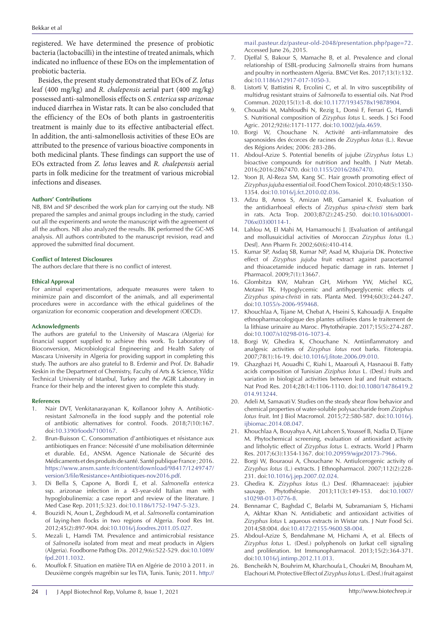registered. We have determined the presence of probiotic bacteria (lactobacilli) in the intestine of treated animals, which indicated no influence of these EOs on the implementation of probiotic bacteria.

Besides, the present study demonstrated that EOs of *Z. lotus* leaf (400 mg/kg) and *R. chalepensis* aerial part (400 mg/kg) possessed anti-salmonellosis effects on *S. enterica* ssp *arizonae* induced diarrhea in Wistar rats. It can be also concluded that the efficiency of the EOs of both plants in gastroenteritis treatment is mainly due to its effective antibacterial effect. In addition, the anti-salmonellosis activities of these EOs are attributed to the presence of various bioactive components in both medicinal plants. These findings can support the use of EOs extracted from *Z. lotus* leaves and *R. chalepensis* aerial parts in folk medicine for the treatment of various microbial infections and diseases.

#### **Authors' Contributions**

NB, BM and SP described the work plan for carrying out the study. NB prepared the samples and animal groups including in the study, carried out all the experiments and wrote the manuscript with the agreement of all the authors. NB also analyzed the results. BK performed the GC-MS analysis. All authors contributed to the manuscript revision, read and approved the submitted final document.

#### **Conflict of Interest Disclosures**

The authors declare that there is no conflict of interest.

#### **Ethical Approval**

For animal experimentations, adequate measures were taken to minimize pain and discomfort of the animals, and all experimental procedures were in accordance with the ethical guidelines of the organization for economic cooperation and development (OECD).

#### **Acknowledgments**

The authors are grateful to the University of Mascara (Algeria) for financial support supplied to achieve this work. To Laboratory of Bioconversion, Microbiological Engineering and Health Safety of Mascara University in Algeria for providing support in completing this study. The authors are also grateful to B. Erdemir and Prof. Dr. Bahadir Keskin in the Department of Chemistry, Faculty of Arts & Science, Yildiz Technical University of Istanbul, Turkey and the AGIR Laboratory in France for their help and the interest given to complete this study.

#### **References**

- 1. Nair DVT, Venkitanarayanan K, Kollanoor Johny A. Antibioticresistant *Salmonella* in the food supply and the potential role of antibiotic alternatives for control. Foods. 2018;7(10):167. doi:[10.3390/foods7100167.](https://doi.org/10.3390/foods7100167)
- 2. Brun-Buisson C. Consommation d'antibiotiques et résistance aux antibiotiques en France: Nécessité d'une mobilisation déterminée et durable. Ed., ANSM. Agence Nationale de Sécurité des Médicaments et des produits de santé. Santé publique France ; 2016. [https://www.ansm.sante.fr/content/download/98417/1249747/](https://www.ansm.sante.fr/content/download/98417/1249747/version/3/file/Resistance+Antibiotiques-nov2016.pdf) [version/3/file/Resistance+Antibiotiques-nov2016.pdf](https://www.ansm.sante.fr/content/download/98417/1249747/version/3/file/Resistance+Antibiotiques-nov2016.pdf).
- 3. Di Bella S, Capone A, Bordi E, et al. *Salmonella enterica* ssp. arizonae infection in a 43-year-old Italian man with hypoglobulinemia: a case report and review of the literature. J Med Case Rep. 2011;5:323. doi:[10.1186/1752-1947-5-323](https://doi.org/10.1186/1752-1947-5-323).
- 4. Bouzidi N, Aoun L, Zeghdoudi M, et al. *Salmonella* contamination of laying-hen flocks in two regions of Algeria. Food Res Int. 2012;45(2):897-904. doi:[10.1016/j.foodres.2011.05.027](https://doi.org/10.1016/j.foodres.2011.05.027).
- 5. Mezali L, Hamdi TM. Prevalence and antimicrobial resistance of *Salmonella* isolated from meat and meat products in Algiers (Algeria). Foodborne Pathog Dis. 2012;9(6):522-529. doi[:10.1089/](https://doi.org/10.1089/fpd.2011.1032) [fpd.2011.1032.](https://doi.org/10.1089/fpd.2011.1032)
- 6. Mouffok F. Situation en matière TIA en Algérie de 2010 à 2011. in Deuxième congrés magrébin sur les TIA, Tunis. Tunis; 2011. [http://](http://mail.pasteur.dz/pasteur-old-2048/presentation.php?page=72)

[mail.pasteur.dz/pasteur-old-2048/presentation.php?page=72.](http://mail.pasteur.dz/pasteur-old-2048/presentation.php?page=72) Accessed June 26, 2015.

- 7. Djeffal S, Bakour S, Mamache B, et al. Prevalence and clonal relationship of ESBL-producing *Salmonella* strains from humans and poultry in northeastern Algeria. BMC Vet Res. 2017;13(1):132. doi[:10.1186/s12917-017-1050-3](https://doi.org/10.1186/s12917-017-1050-3).
- 8. Listorti V, Battistini R, Ercolini C, et al. In vitro susceptibility of multidrug resistant strains of *Salmonella* to essential oils. Nat Prod Commun. 2020;15(1):1-8. doi:[10.1177/1934578x19878904.](https://doi.org/10.1177/1934578x19878904)
- 9. Chouaibi M, Mahfoudhi N, Rezig L, Donsì F, Ferrari G, Hamdi S. Nutritional composition of *Zizyphus lotus* L. seeds. J Sci Food Agric. 2012;92(6):1171-1177. doi:[10.1002/jsfa.4659](https://doi.org/10.1002/jsfa.4659).
- 10. Borgi W, Chouchane N. Activité anti-inflammatoire des saponosides des écorces de racines de *Zizyphus lotus* (L.). Revue des Régions Arides; 2006: 283-286.
- 11. Abdoul-Azize S. Potential benefits of jujube (*Zizyphus lotus* L.) bioactive compounds for nutrition and health. J Nutr Metab. 2016;2016:2867470. doi:[10.1155/2016/2867470](https://doi.org/10.1155/2016/2867470).
- 12. Yoon JI, Al-Reza SM, Kang SC. Hair growth promoting effect of *Zizyphus jujuba* essential oil. Food Chem Toxicol. 2010;48(5):1350- 1354. doi:[10.1016/j.fct.2010.02.036](https://doi.org/10.1016/j.fct.2010.02.036).
- 13. Adzu B, Amos S, Amizan MB, Gamaniel K. Evaluation of the antidiarrhoeal effects of *Zizyphus spina-christi* stem bark in rats. Acta Trop. 2003;87(2):245-250. doi[:10.1016/s0001-](https://doi.org/10.1016/s0001-706x(03)00114-1) [706x\(03\)00114-1](https://doi.org/10.1016/s0001-706x(03)00114-1).
- 14. Lahlou M, El Mahi M, Hamamouchi J. [Evaluation of antifungal and mollusuicidial activities of Moroccan *Zizyphus lotus* (L.) Desf]. Ann Pharm Fr. 2002;60(6):410-414.
- 15. Kumar SP, Asdaq SB, Kumar NP, Asad M, Khajuria DK. Protective effect of *Zizyphus jujuba* fruit extract against paracetamol and thioacetamide induced hepatic damage in rats. Internet J Pharmacol. 2009;7(1):13667.
- 16. Glombitza KW, Mahran GH, Mirhom YW, Michel KG, Motawi TK. Hypoglycemic and antihyperglycemic effects of *Zizyphus spina-christi* in rats. Planta Med. 1994;60(3):244-247. doi[:10.1055/s-2006-959468](https://doi.org/10.1055/s-2006-959468).
- 17. Khouchlaa A, Tijane M, Chebat A, Hseini S, Kahouadji A. Enquête ethnopharmacologique des plantes utilisées dans le traitement de la lithiase urinaire au Maroc. Phytothérapie. 2017;15(5):274-287. doi[:10.1007/s10298-016-1073-4](https://doi.org/10.1007/s10298-016-1073-4).
- 18. Borgi W, Ghedira K, Chouchane N. Antiinflammatory and analgesic activities of *Zizyphus lotus* root barks. Fitoterapia. 2007;78(1):16-19. doi[:10.1016/j.fitote.2006.09.010.](https://doi.org/10.1016/j.fitote.2006.09.010)
- 19. Ghazghazi H, Aouadhi C, Riahi L, Maaroufi A, Hasnaoui B. Fatty acids composition of Tunisian *Ziziphus lotus* L. (Desf.) fruits and variation in biological activities between leaf and fruit extracts. Nat Prod Res. 2014;28(14):1106-1110. doi[:10.1080/14786419.2](https://doi.org/10.1080/14786419.2014.913244) [014.913244](https://doi.org/10.1080/14786419.2014.913244).
- 20. Adeli M, Samavati V. Studies on the steady shear flow behavior and chemical properties of water-soluble polysaccharide from *Ziziphus lotus* fruit. Int J Biol Macromol. 2015;72:580-587. doi[:10.1016/j.](https://doi.org/10.1016/j.ijbiomac.2014.08.047) [ijbiomac.2014.08.047.](https://doi.org/10.1016/j.ijbiomac.2014.08.047)
- 21. Khouchlaa A, Bouyahya A, Ait Lahcen S, Youssef B, Nadia D, Tijane M. Phytochemical screening, evaluation of antioxidant activity and litholytic effect of *Zizyphus lotus* L. extracts. World J Pharm Res. 2017;6(3):1354-1367. doi[:10.20959/wjpr20173-7966.](https://doi.org/10.20959/wjpr20173-7966)
- 22. Borgi W, Bouraoui A, Chouchane N. Antiulcerogenic activity of *Zizyphus lotus* (L.) extracts. J Ethnopharmacol. 2007;112(2):228- 231. doi[:10.1016/j.jep.2007.02.024](https://doi.org/10.1016/j.jep.2007.02.024).
- 23. Ghedira K. *Zizyphus lotus* (L.) Desf. (Rhamnaceae): jujubier sauvage. Phytothérapie. 2013;11(3):149-153. doi:[10.1007/](https://doi.org/10.1007/s10298-013-0776-8) [s10298-013-0776-8.](https://doi.org/10.1007/s10298-013-0776-8)
- 24. Bennamar C, Baghdad C, Belarbi M, Subramaniam S, Hichami A, Akhtar Khan N. Antidiabetic and antioxidant activities of *Zizyphus lotus* L aqueous extracts in Wistar rats. J Nutr Food Sci. 2014;S8:004. doi:[10.4172/2155-9600.S8-004.](https://doi.org/10.4172/2155-9600.S8-004)
- 25. Abdoul-Azize S, Bendahmane M, Hichami A, et al. Effects of *Zizyphus lotus* L. (Desf.) polyphenols on Jurkat cell signaling and proliferation. Int Immunopharmacol. 2013;15(2):364-371. doi[:10.1016/j.intimp.2012.11.013.](https://doi.org/10.1016/j.intimp.2012.11.013)
- 26. Bencheikh N, Bouhrim M, Kharchoufa L, Choukri M, Bnouham M, Elachouri M. Protective Effect of *Zizyphus lotus* L. (Desf.) fruit against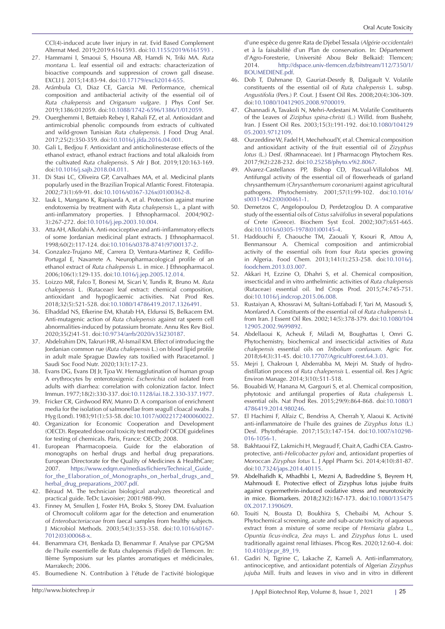CCl(4)-induced acute liver injury in rat. Evid Based Complement Alternat Med. 2019;2019:6161593. doi:[10.1155/2019/6161593](https://doi.org/10.1155/2019/6161593) .

- 27. Hammami I, Smaoui S, Hsouna AB, Hamdi N, Triki MA. *Ruta montana* L. leaf essential oil and extracts: characterization of bioactive compounds and suppression of crown gall disease. EXCLI J. 2015;14:83-94. doi[:10.17179/excli2014-655](https://doi.org/10.17179/excli2014-655).
- 28. Arámbula CI, Diaz CE, Garcia MI. Performance, chemical composition and antibacterial activity of the essential oil of *Ruta chalepensis* and *Origanum vulgare*. J Phys Conf Ser. 2019;1386:012059. doi[:10.1088/1742-6596/1386/1/012059](https://doi.org/10.1088/1742-6596/1386/1/012059).
- 29. Ouerghemmi I, Bettaieb Rebey I, Rahali FZ, et al. Antioxidant and antimicrobial phenolic compounds from extracts of cultivated and wild-grown Tunisian *Ruta chalepensis*. J Food Drug Anal. 2017;25(2):350-359. doi:[10.1016/j.jfda.2016.04.001.](https://doi.org/10.1016/j.jfda.2016.04.001)
- 30. Gali L, Bedjou F. Antioxidant and anticholinesterase effects of the ethanol extract, ethanol extract fractions and total alkaloids from the cultivated *Ruta chalepensis*. S Afr J Bot. 2019;120:163-169. doi:[10.1016/j.sajb.2018.04.011.](https://doi.org/10.1016/j.sajb.2018.04.011)
- 31. Di Stasi LC, Oliveira GP, Carvalhaes MA, et al. Medicinal plants popularly used in the Brazilian Tropical Atlantic Forest. Fitoterapia. 2002;73(1):69-91. doi:[10.1016/s0367-326x\(01\)00362-8.](https://doi.org/10.1016/s0367-326x(01)00362-8)
- 32. Iauk L, Mangano K, Rapisarda A, et al. Protection against murine endotoxemia by treatment with *Ruta chalepensis* L., a plant with anti-inflammatory properties. J Ethnopharmacol. 2004;90(2- 3):267-272. doi:[10.1016/j.jep.2003.10.004.](https://doi.org/10.1016/j.jep.2003.10.004)
- 33. Atta AH, Alkofahi A. Anti-nociceptive and anti-inflammatory effects of some Jordanian medicinal plant extracts. J Ethnopharmacol. 1998;60(2):117-124. doi:[10.1016/s0378-8741\(97\)00137-2.](https://doi.org/10.1016/s0378-8741(97)00137-2)
- 34. Gonzalez-Trujano ME, Carrera D, Ventura-Martinez R, Cedillo-Portugal E, Navarrete A. Neuropharmacological profile of an ethanol extract of *Ruta chalepensis* L. in mice. J Ethnopharmacol. 2006;106(1):129-135. doi[:10.1016/j.jep.2005.12.014](https://doi.org/10.1016/j.jep.2005.12.014).
- 35. Loizzo MR, Falco T, Bonesi M, Sicari V, Tundis R, Bruno M. *Ruta chalepensis* L. (Rutaceae) leaf extract: chemical composition, antioxidant and hypoglicaemic activities. Nat Prod Res. 2018;32(5):521-528. doi:[10.1080/14786419.2017.1326491.](https://doi.org/10.1080/14786419.2017.1326491)
- 36. Elhaddad NS, Efkerine EM, Khatab HA, Eldurssi IS, Belkacem EM. Anti-mutagenic action of *Ruta chalepensis* against rat sperm cell abnormalities-induced by potassium bromate. Annu Res Rev Biol. 2020;35(2)41-51. doi:[10.9734/arrb/2020/v35i230187.](https://doi.org/10.9734/arrb/2020/v35i230187)
- 37. Abdelrahim DN, Takruri HR, Al-Ismail KM. Effect of introducing the Jordanian common rue (*Ruta chalepensis* L.) on blood lipid profile in adult male Sprague Dawley rats toxified with Paracetamol. J Saudi Soc Food Nutr. 2020;13(1):17-23.
- 38. Evans DG, Evans DJ Jr, Tjoa W. Hemagglutination of human group A erythrocytes by enterotoxigenic *Escherichia coli* isolated from adults with diarrhea: correlation with colonization factor. Infect Immun. 1977;18(2):330-337. doi[:10.1128/iai.18.2.330-337.1977](https://doi.org/10.1128/iai.18.2.330-337.1977).
- 39. Fricker CR, Girdwood RW, Munro D. A comparison of enrichment media for the isolation of salmonellae from seagull cloacal swabs. J Hyg (Lond). 1983;91(1):53-58. doi:[10.1017/s0022172400060022](https://doi.org/10.1017/s0022172400060022).
- 40. Organization for Economic Cooperation and Development (OECD). Repeated dose oral toxicity test method? OCDE guidelines for testing of chemicals. Paris, France: OECD; 2008.
- 41. European Pharmacopoeia. Guide for the elaboration of monographs on herbal drugs and herbal drug preparations. European Directorate for the Quality of Medicines & HealthCare; 2007. [https://www.edqm.eu/medias/fichiers/Technical\\_Guide\\_](https://www.edqm.eu/medias/fichiers/Technical_Guide_for_the_Elaboration_of_Monographs_on_herbal_drugs_and_herbal_drug_preparations_2007.pdf) [for\\_the\\_Elaboration\\_of\\_Monographs\\_on\\_herbal\\_drugs\\_and\\_](https://www.edqm.eu/medias/fichiers/Technical_Guide_for_the_Elaboration_of_Monographs_on_herbal_drugs_and_herbal_drug_preparations_2007.pdf) [herbal\\_drug\\_preparations\\_2007.pdf.](https://www.edqm.eu/medias/fichiers/Technical_Guide_for_the_Elaboration_of_Monographs_on_herbal_drugs_and_herbal_drug_preparations_2007.pdf)
- 42. Béraud M. The technician biological analyzes theoretical and practical guide. TeDc Lavoisier; 2001:988-990.
- 43. Finney M, Smullen J, Foster HA, Brokx S, Storey DM. Evaluation of Chromocult coliform agar for the detection and enumeration of *Enterobacteriaceae* from faecal samples from healthy subjects. J Microbiol Methods. 2003;54(3):353-358. doi:[10.1016/s0167-](https://doi.org/10.1016/s0167-7012(03)00068-x) [7012\(03\)00068-x.](https://doi.org/10.1016/s0167-7012(03)00068-x)
- 44. Benammara CH, Benkada D, Benammar F. Analyse par CPG/SM de l'huile essentielle de Ruta chalepensis (Fidjel) de Tlemcen. In: IIème Symposium sur les plantes aromatiques et médicinales, Marrakech; 2006.
- 45. Boumediene N. Contribution à l'étude de l'activité biologique

d'une espèce du genre Rata de Djebel Tessala (*Algérie occidentale*) et à la faisabilité d'un Plan de conservation. In: Département d'Agro-Foresterie, Université Abou Bekr Belkaid: Tlemcen; 2014. [http://dspace.univ-tlemcen.dz/bitstream/112/7350/1/](http://dspace.univ-tlemcen.dz/bitstream/112/7350/1/BOUMEDIENE.pdf) [BOUMEDIENE.pdf.](http://dspace.univ-tlemcen.dz/bitstream/112/7350/1/BOUMEDIENE.pdf)

- 46. Dob T, Dahmane D, Gauriat-Desrdy B, Daligault V. Volatile constituents of the essential oil of *Ruta chalepensis* L. subsp. *Angustifolia* (Pers.) P. Cout. J Essent Oil Res. 2008;20(4):306-309. doi[:10.1080/10412905.2008.9700019](https://doi.org/10.1080/10412905.2008.9700019).
- 47. Ghannadi A, Tavakoli N, Mehri-Ardestani M. Volatile Constituents of the Leaves of *Ziziphus spina-christi* (L.) Willd. from Bushehr, Iran. J Essent Oil Res. 2003;15(3):191-192. doi:10[.1080/104129](https://doi.org/1080/10412905.2003.9712109) [05.2003.9712109](https://doi.org/1080/10412905.2003.9712109).
- 48. Ourzeddine W, Fadel H, Mechehoud Y, et al. Chemical composition and antioxidant activity of the fruit essential oil of *Zizyphus lotus* (L.) Desf. (Rhamnaceae). Int J Pharmacogn Phytochem Res. 2017;9(2):228-232. doi:[10.25258/phyto.v9i2.8067.](https://doi.org/10.25258/phyto.v9i2.8067)
- 49. Alvarez-Castellanos PP, Bishop CD, Pascual-Villalobos MJ. Antifungal activity of the essential oil of flowerheads of garland chrysanthemum (*Chrysanthemum coronarium*) against agricultural pathogens. Phytochemistry. 2001;57(1):99-102. doi:[10.1016/](https://doi.org/10.1016/s0031-9422(00)00461-1) [s0031-9422\(00\)00461-1](https://doi.org/10.1016/s0031-9422(00)00461-1).
- 50. Demetzos C, Angelopoulou D, Perdetzoglou D. A comparative study of the essential oils of *Cistus salviifolius* in several populations of Crete (Greece). Biochem Syst Ecol. 2002;30(7):651-665. doi[:10.1016/s0305-1978\(01\)00145-4.](https://doi.org/10.1016/s0305-1978(01)00145-4)
- 51. Haddouchi F, Chaouche TM, Zaouali Y, Ksouri R, Attou A, Benmansour A. Chemical composition and antimicrobial activity of the essential oils from four *Ruta* species growing in Algeria. Food Chem. 2013;141(1):253-258. doi[:10.1016/j.](https://doi.org/10.1016/j.foodchem.2013.03.007) [foodchem.2013.03.007](https://doi.org/10.1016/j.foodchem.2013.03.007).
- 52. Akkari H, Ezzine O, Dhahri S, et al. Chemical composition, insecticidal and in vitro anthelmintic activities of *Ruta chalepensis* (Rutaceae) essential oil. Ind Crops Prod. 2015;74:745-751. doi[:10.1016/j.indcrop.2015.06.008](https://doi.org/10.1016/j.indcrop.2015.06.008).
- 53. Rustaiyan A, Khossravi M, Sultani-Lotfabadi F, Yari M, Masoudi S, Monfared A. Constituents of the essential oil of *Ruta chalepensis* L. from Iran. J Essent Oil Res. 2002;14(5):378-379. doi[:10.1080/104](https://doi.org/10.1080/10412905.2002.9699892) [12905.2002.9699892.](https://doi.org/10.1080/10412905.2002.9699892)
- 54. Abdellaoui K, Acheuk F, Miladi M, Boughattas I, Omri G. Phytochemistry, biochemical and insecticidal activities of *Ruta chalepensis* essential oils on *Tribolium confusum*. Agric For. 2018;64(3):31-45. doi[:10.17707/AgricultForest.64.3.03.](https://doi.org/10.17707/AgricultForest.64.3.03)
- 55. Mejri J, Chakroun I, Abderrabba M, Mejri M. Study of hydrodistillation process of *Ruta chalepensis* L. essential oil. Res J Agric Environ Manage. 2014;3(10):511-518.
- 56. Bouabidi W, Hanana M, Gargouri S, et al. Chemical composition, phytotoxic and antifungal properties of *Ruta chalepensis* L. essential oils. Nat Prod Res. 2015;29(9):864-868. doi[:10.1080/1](https://doi.org/10.1080/14786419.2014.980246) [4786419.2014.980246](https://doi.org/10.1080/14786419.2014.980246).
- 57. El Hachimi F, Alfaiz C, Bendriss A, Cherrah Y, Alaoui K. Activité anti-inflammatoire de l'huile des graines de *Zizyphus lotus* (L.) Desf. Phytothérapie. 2017;15(3):147-154. doi:[10.1007/s10298-](https://doi.org/10.1007/s10298-016-1056-1) [016-1056-1.](https://doi.org/10.1007/s10298-016-1056-1)
- 58. Bakhtaoui FZ, Lakmichi H, Megraud F, Chait A, Gadhi CEA. Gastroprotective, anti-*Helicobacter pylori* and, antioxidant properties of Moroccan *Zizyphus lotus* L. J Appl Pharm Sci. 2014;4(10):81-87. doi[:10.7324/japs.2014.40115.](https://doi.org/10.7324/japs.2014.40115)
- 59. Abdelhafidh K, Mhadhbi L, Mezni A, Badreddine S, Beyrem H, Mahmoudi E. Protective effect of Zizyphus lotus jujube fruits against cypermethrin-induced oxidative stress and neurotoxicity in mice. Biomarkers. 2018;23(2):167-173. doi:[10.1080/135475](https://doi.org/10.1080/1354750X.2017.1390609) [0X.2017.1390609.](https://doi.org/10.1080/1354750X.2017.1390609)
- 60. Touiti N, Bousta D, Boukhira S, Chebaibi M, Achour S. Phytochemical screening, acute and sub-acute toxicity of aqueous extract from a mixture of some recipe of *Herniaria glabra* L., *Opuntia ficus-indica*, *Zea mays* L. and *Zizyphus lotus* L. used traditionally against renal lithiases. Phcog Res. 2020;12:60-4. doi: [10.4103/pr.pr\\_89\\_19.](https://doi.org/10.4103/pr.pr_89_19)
- 61. Gadiri N, Tigrine C, Lakache Z, Kameli A. Anti-inflammatory, antinociceptive, and antioxidant potentials of Algerian *Zizyphus jujuba* Mill. fruits and leaves in vivo and in vitro in different